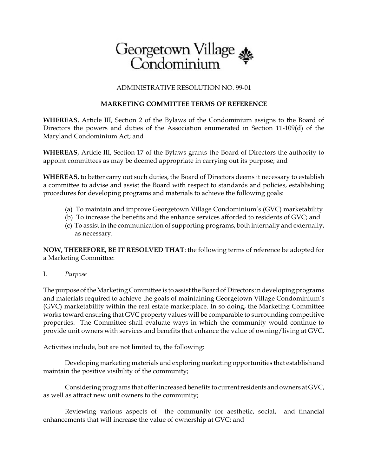

## ADMINISTRATIVE RESOLUTION NO. 99-01

## **MARKETING COMMITTEE TERMS OF REFERENCE**

**WHEREAS**, Article III, Section 2 of the Bylaws of the Condominium assigns to the Board of Directors the powers and duties of the Association enumerated in Section 11-109(d) of the Maryland Condominium Act; and

**WHEREAS**, Article III, Section 17 of the Bylaws grants the Board of Directors the authority to appoint committees as may be deemed appropriate in carrying out its purpose; and

**WHEREAS**, to better carry out such duties, the Board of Directors deems it necessary to establish a committee to advise and assist the Board with respect to standards and policies, establishing procedures for developing programs and materials to achieve the following goals:

- (a) To maintain and improve Georgetown Village Condominium's (GVC) marketability
- (b) To increase the benefits and the enhance services afforded to residents of GVC; and
- (c) To assist in the communication of supporting programs, both internally and externally, as necessary.

**NOW, THEREFORE, BE IT RESOLVED THAT**: the following terms of reference be adopted for a Marketing Committee:

I. *Purpose*

The purpose of the Marketing Committee is to assist the Board of Directors in developing programs and materials required to achieve the goals of maintaining Georgetown Village Condominium's (GVC) marketability within the real estate marketplace. In so doing, the Marketing Committee works toward ensuring that GVC property values will be comparable to surrounding competitive properties. The Committee shall evaluate ways in which the community would continue to provide unit owners with services and benefits that enhance the value of owning/living at GVC.

Activities include, but are not limited to, the following:

Developing marketing materials and exploring marketing opportunities that establish and maintain the positive visibility of the community;

Considering programs that offer increased benefits to current residents and owners at GVC, as well as attract new unit owners to the community;

Reviewing various aspects of the community for aesthetic, social, and financial enhancements that will increase the value of ownership at GVC; and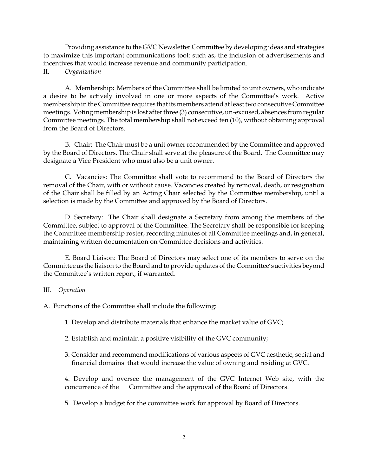Providing assistance to the GVC Newsletter Committee by developing ideas and strategies to maximize this important communications tool: such as, the inclusion of advertisements and incentives that would increase revenue and community participation.

II. *Organization*

A. Membership**:** Members of the Committee shall be limited to unit owners, who indicate a desire to be actively involved in one or more aspects of the Committee's work. Active membership in the Committee requires that its members attend at least two consecutiveCommittee meetings. Voting membership is lost after three (3) consecutive, un-excused, absences from regular Committee meetings. The total membership shall not exceed ten (10), without obtaining approval from the Board of Directors.

B. Chair: The Chair must be a unit owner recommended by the Committee and approved by the Board of Directors. The Chair shall serve at the pleasure of the Board. The Committee may designate a Vice President who must also be a unit owner.

C. Vacancies: The Committee shall vote to recommend to the Board of Directors the removal of the Chair, with or without cause. Vacancies created by removal, death, or resignation of the Chair shall be filled by an Acting Chair selected by the Committee membership, until a selection is made by the Committee and approved by the Board of Directors.

D. Secretary: The Chair shall designate a Secretary from among the members of the Committee, subject to approval of the Committee. The Secretary shall be responsible for keeping the Committee membership roster, recording minutes of all Committee meetings and, in general, maintaining written documentation on Committee decisions and activities.

E. Board Liaison: The Board of Directors may select one of its members to serve on the Committee as the liaison to the Board and to provide updates of the Committee's activities beyond the Committee's written report, if warranted.

## III. *Operation*

A. Functions of the Committee shall include the following:

1. Develop and distribute materials that enhance the market value of GVC;

- 2. Establish and maintain a positive visibility of the GVC community;
- 3. Consider and recommend modifications of various aspects of GVC aesthetic, social and financial domains that would increase the value of owning and residing at GVC.

4. Develop and oversee the management of the GVC Internet Web site, with the concurrence of the Committee and the approval of the Board of Directors.

5. Develop a budget for the committee work for approval by Board of Directors.